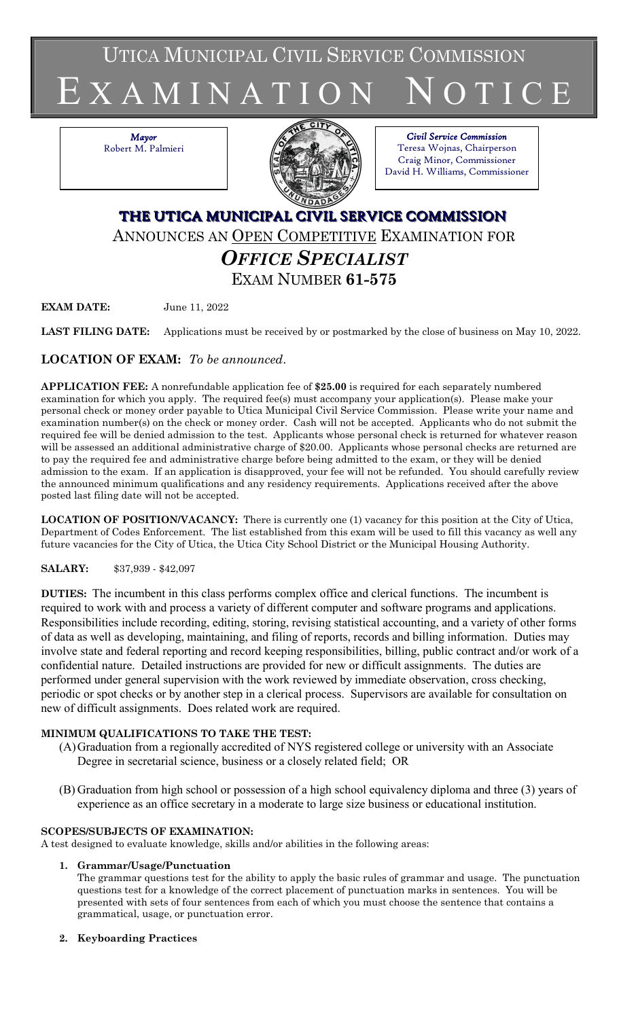UTICA MUNICIPAL CIVIL SERVICE COMMISSION



*Mayor* Robert M. Palmieri



#### *Civil Service Commission* Teresa Wojnas, Chairperson Craig Minor, Commissioner David H. Williams, Commissioner

# **THE UTICA MUNICIPAL CIVIL SERVICE COMMISSION** ANNOUNCES AN OPEN COMPETITIVE EXAMINATION FOR *OFFICE SPECIALIST* EXAM NUMBER **61-575**

**EXAM DATE:** June 11, 2022

**LAST FILING DATE:** Applications must be received by or postmarked by the close of business on May 10, 2022.

# **LOCATION OF EXAM:** *To be announced*.

**APPLICATION FEE:** A nonrefundable application fee of **\$25.00** is required for each separately numbered examination for which you apply. The required fee(s) must accompany your application(s). Please make your personal check or money order payable to Utica Municipal Civil Service Commission. Please write your name and examination number(s) on the check or money order. Cash will not be accepted. Applicants who do not submit the required fee will be denied admission to the test. Applicants whose personal check is returned for whatever reason will be assessed an additional administrative charge of \$20.00. Applicants whose personal checks are returned are to pay the required fee and administrative charge before being admitted to the exam, or they will be denied admission to the exam. If an application is disapproved, your fee will not be refunded. You should carefully review the announced minimum qualifications and any residency requirements. Applications received after the above posted last filing date will not be accepted.

**LOCATION OF POSITION/VACANCY:** There is currently one (1) vacancy for this position at the City of Utica, Department of Codes Enforcement. The list established from this exam will be used to fill this vacancy as well any future vacancies for the City of Utica, the Utica City School District or the Municipal Housing Authority.

## **SALARY:** \$37,939 - \$42,097

**DUTIES:** The incumbent in this class performs complex office and clerical functions. The incumbent is required to work with and process a variety of different computer and software programs and applications. Responsibilities include recording, editing, storing, revising statistical accounting, and a variety of other forms of data as well as developing, maintaining, and filing of reports, records and billing information. Duties may involve state and federal reporting and record keeping responsibilities, billing, public contract and/or work of a confidential nature. Detailed instructions are provided for new or difficult assignments. The duties are performed under general supervision with the work reviewed by immediate observation, cross checking, periodic or spot checks or by another step in a clerical process. Supervisors are available for consultation on new of difficult assignments. Does related work are required.

## **MINIMUM QUALIFICATIONS TO TAKE THE TEST:**

- (A)Graduation from a regionally accredited of NYS registered college or university with an Associate Degree in secretarial science, business or a closely related field; OR
- (B) Graduation from high school or possession of a high school equivalency diploma and three (3) years of experience as an office secretary in a moderate to large size business or educational institution.

## **SCOPES/SUBJECTS OF EXAMINATION:**

A test designed to evaluate knowledge, skills and/or abilities in the following areas:

## **1. Grammar/Usage/Punctuation**

The grammar questions test for the ability to apply the basic rules of grammar and usage. The punctuation questions test for a knowledge of the correct placement of punctuation marks in sentences. You will be presented with sets of four sentences from each of which you must choose the sentence that contains a grammatical, usage, or punctuation error.

**2. Keyboarding Practices**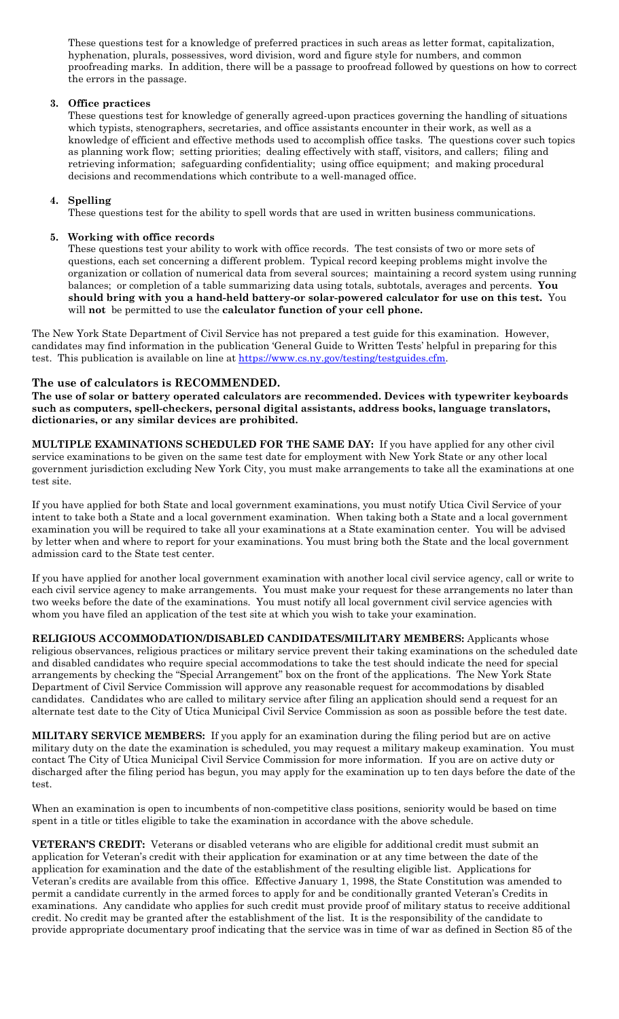These questions test for a knowledge of preferred practices in such areas as letter format, capitalization, hyphenation, plurals, possessives, word division, word and figure style for numbers, and common proofreading marks. In addition, there will be a passage to proofread followed by questions on how to correct the errors in the passage.

#### **3. Office practices**

These questions test for knowledge of generally agreed-upon practices governing the handling of situations which typists, stenographers, secretaries, and office assistants encounter in their work, as well as a knowledge of efficient and effective methods used to accomplish office tasks. The questions cover such topics as planning work flow; setting priorities; dealing effectively with staff, visitors, and callers; filing and retrieving information; safeguarding confidentiality; using office equipment; and making procedural decisions and recommendations which contribute to a well-managed office.

#### **4. Spelling**

These questions test for the ability to spell words that are used in written business communications.

#### **5. Working with office records**

These questions test your ability to work with office records. The test consists of two or more sets of questions, each set concerning a different problem. Typical record keeping problems might involve the organization or collation of numerical data from several sources; maintaining a record system using running balances; or completion of a table summarizing data using totals, subtotals, averages and percents. **You should bring with you a hand-held battery-or solar-powered calculator for use on this test.** You will **not** be permitted to use the **calculator function of your cell phone.**

The New York State Department of Civil Service has not prepared a test guide for this examination. However, candidates may find information in the publication 'General Guide to Written Tests' helpful in preparing for this test. This publication is available on line at [https://www.cs.ny.gov/testing/testguides.cfm.](https://www.cs.ny.gov/testing/testguides.cfm)

#### **The use of calculators is RECOMMENDED.**

**The use of solar or battery operated calculators are recommended. Devices with typewriter keyboards such as computers, spell-checkers, personal digital assistants, address books, language translators, dictionaries, or any similar devices are prohibited.**

**MULTIPLE EXAMINATIONS SCHEDULED FOR THE SAME DAY:** If you have applied for any other civil service examinations to be given on the same test date for employment with New York State or any other local government jurisdiction excluding New York City, you must make arrangements to take all the examinations at one test site.

If you have applied for both State and local government examinations, you must notify Utica Civil Service of your intent to take both a State and a local government examination. When taking both a State and a local government examination you will be required to take all your examinations at a State examination center. You will be advised by letter when and where to report for your examinations. You must bring both the State and the local government admission card to the State test center.

If you have applied for another local government examination with another local civil service agency, call or write to each civil service agency to make arrangements. You must make your request for these arrangements no later than two weeks before the date of the examinations. You must notify all local government civil service agencies with whom you have filed an application of the test site at which you wish to take your examination.

**RELIGIOUS ACCOMMODATION/DISABLED CANDIDATES/MILITARY MEMBERS:** Applicants whose religious observances, religious practices or military service prevent their taking examinations on the scheduled date and disabled candidates who require special accommodations to take the test should indicate the need for special arrangements by checking the "Special Arrangement" box on the front of the applications. The New York State Department of Civil Service Commission will approve any reasonable request for accommodations by disabled candidates. Candidates who are called to military service after filing an application should send a request for an alternate test date to the City of Utica Municipal Civil Service Commission as soon as possible before the test date.

**MILITARY SERVICE MEMBERS:** If you apply for an examination during the filing period but are on active military duty on the date the examination is scheduled, you may request a military makeup examination. You must contact The City of Utica Municipal Civil Service Commission for more information. If you are on active duty or discharged after the filing period has begun, you may apply for the examination up to ten days before the date of the test.

When an examination is open to incumbents of non-competitive class positions, seniority would be based on time spent in a title or titles eligible to take the examination in accordance with the above schedule.

**VETERAN'S CREDIT:** Veterans or disabled veterans who are eligible for additional credit must submit an application for Veteran's credit with their application for examination or at any time between the date of the application for examination and the date of the establishment of the resulting eligible list. Applications for Veteran's credits are available from this office. Effective January 1, 1998, the State Constitution was amended to permit a candidate currently in the armed forces to apply for and be conditionally granted Veteran's Credits in examinations. Any candidate who applies for such credit must provide proof of military status to receive additional credit. No credit may be granted after the establishment of the list. It is the responsibility of the candidate to provide appropriate documentary proof indicating that the service was in time of war as defined in Section 85 of the